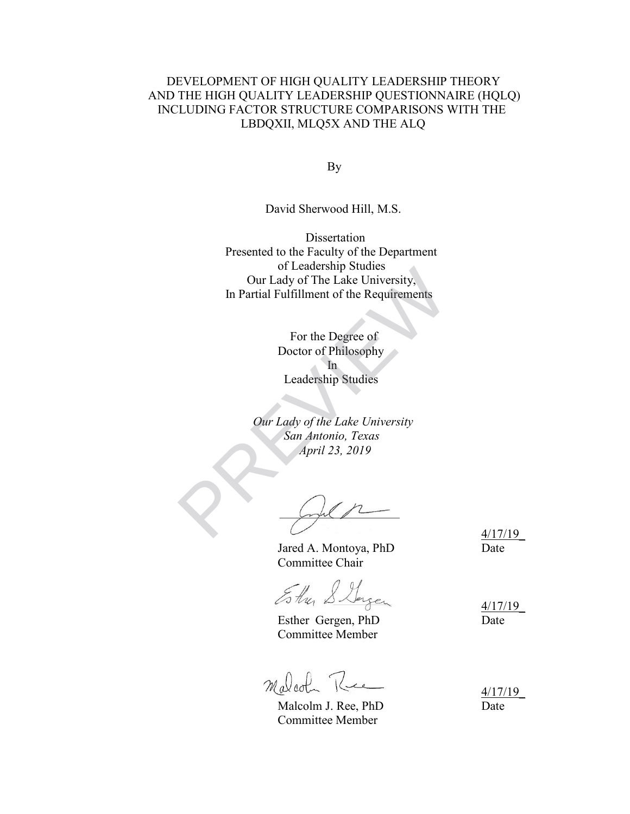### DEVELOPMENT OF HIGH QUALITY LEADERSHIP THEORY AND THE HIGH QUALITY LEADERSHIP QUESTIONNAIRE (HQLQ) INCLUDING FACTOR STRUCTURE COMPARISONS WITH THE LBDQXII, MLQ5X AND THE ALQ

**By** 

David Sherwood Hill, M.S.

 Dissertation Presented to the Faculty of the Department of Leadership Studies Our Lady of The Lake University, In Partial Fulfillment of the Requirements or Leadership Studies<br>
Our Lady of The Lake University,<br>
In Partial Fulfillment of the Requirements<br>
For the Degree of<br>
Doctor of Philosophy<br>
In<br>
Leadership Studies<br>
Our Lady of the Lake University<br>
San Antonio, Texas<br>
Apr

 For the Degree of Doctor of Philosophy **In** Leadership Studies

> *Our Lady of the Lake University San Antonio, Texas April 23, 2019*

Jared A. Montoya, PhD Date Committee Chair

4/17/19\_

 $E$ the Slager 4/17/19

Esther Gergen, PhD Date Committee Member

Malcohn Rue

Malcolm J. Ree, PhD Date Committee Member

4/17/19\_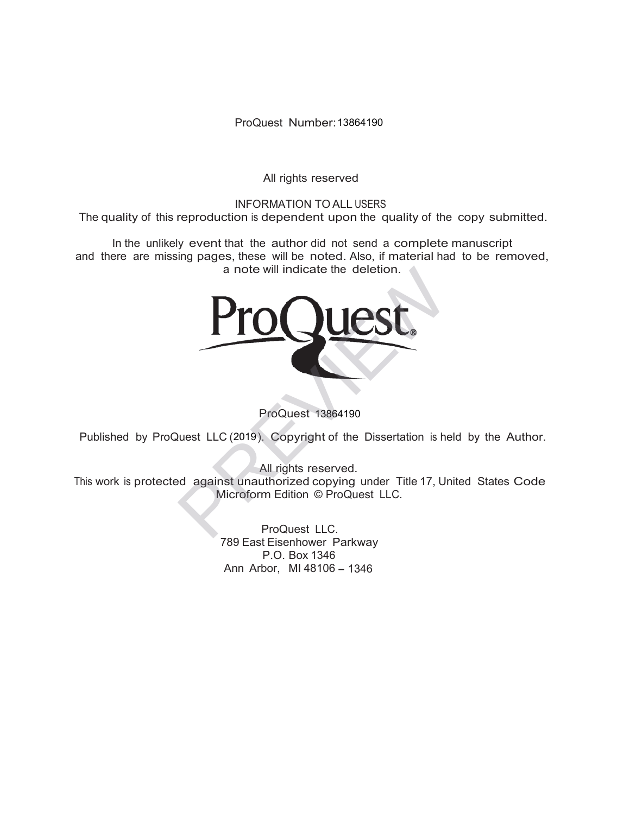ProQuest Number: 13864190

All rights reserved

INFORMATION TO ALL USERS The quality of this reproduction is dependent upon the quality of the copy submitted.

In the unlikely event that the author did not send a complete manuscript and there are missing pages, these will be noted. Also, if material had to be removed, a note will indicate the deletion.



ProQuest 13864190

Published by ProQuest LLC (2019). Copyright of the Dissertation is held by the Author.

All rights reserved.

This work is protected against unauthorized copying under Title 17, United States Code Microform Edition © ProQuest LLC.

> ProQuest LLC. 789 East Eisenhower Parkway P.O. Box 1346 Ann Arbor, MI 48106 - 1346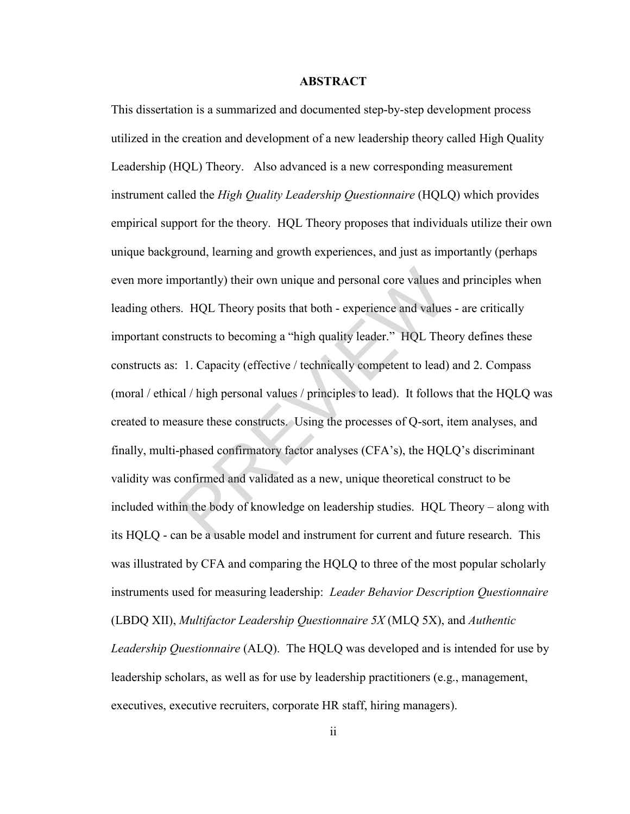### **ABSTRACT**

This dissertation is a summarized and documented step-by-step development process utilized in the creation and development of a new leadership theory called High Quality Leadership (HQL) Theory. Also advanced is a new corresponding measurement instrument called the *High Quality Leadership Questionnaire* (HQLQ) which provides empirical support for the theory. HQL Theory proposes that individuals utilize their own unique background, learning and growth experiences, and just as importantly (perhaps even more importantly) their own unique and personal core values and principles when leading others. HQL Theory posits that both - experience and values - are critically important constructs to becoming a "high quality leader." HQL Theory defines these constructs as: 1. Capacity (effective / technically competent to lead) and 2. Compass (moral / ethical / high personal values / principles to lead). It follows that the HQLQ was created to measure these constructs. Using the processes of Q-sort, item analyses, and finally, multi-phased confirmatory factor analyses (CFA's), the HQLQ's discriminant validity was confirmed and validated as a new, unique theoretical construct to be included within the body of knowledge on leadership studies. HQL Theory – along with its HQLQ - can be a usable model and instrument for current and future research. This was illustrated by CFA and comparing the HQLQ to three of the most popular scholarly instruments used for measuring leadership: *Leader Behavior Description Questionnaire*  (LBDQ XII), *Multifactor Leadership Questionnaire 5X* (MLQ 5X), and *Authentic Leadership Questionnaire* (ALQ). The HQLQ was developed and is intended for use by leadership scholars, as well as for use by leadership practitioners (e.g., management, executives, executive recruiters, corporate HR staff, hiring managers). about a personal core values and series and series and values and series and values as and values and values and values and values and values and values and values in HQL The experience and values in HQL The experience in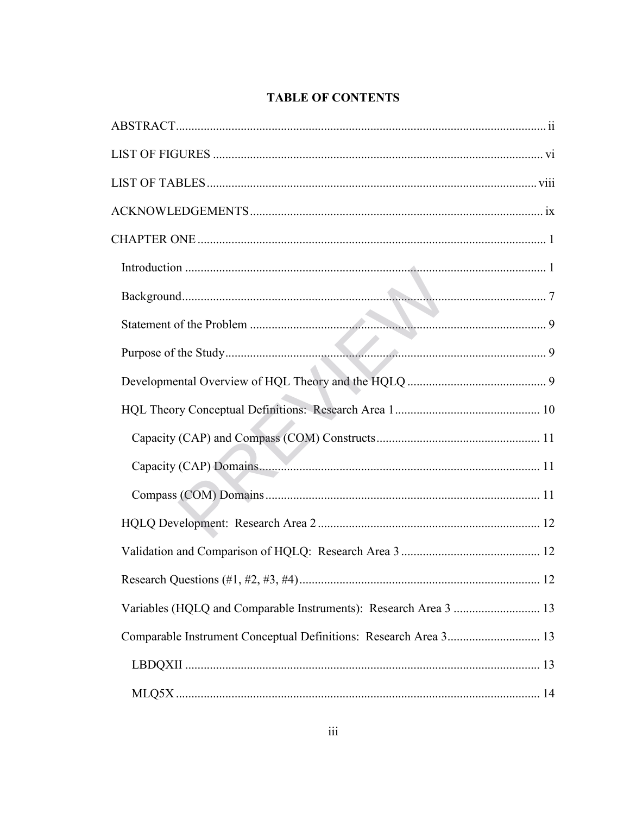# **TABLE OF CONTENTS**

| Variables (HQLQ and Comparable Instruments): Research Area 3  13 |  |
|------------------------------------------------------------------|--|
| Comparable Instrument Conceptual Definitions: Research Area 3 13 |  |
|                                                                  |  |
|                                                                  |  |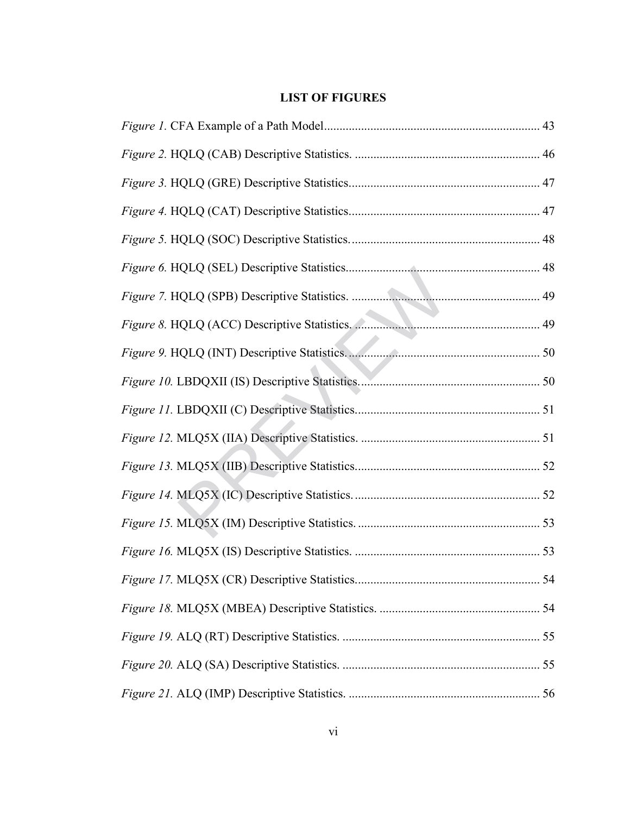## **LIST OF FIGURES**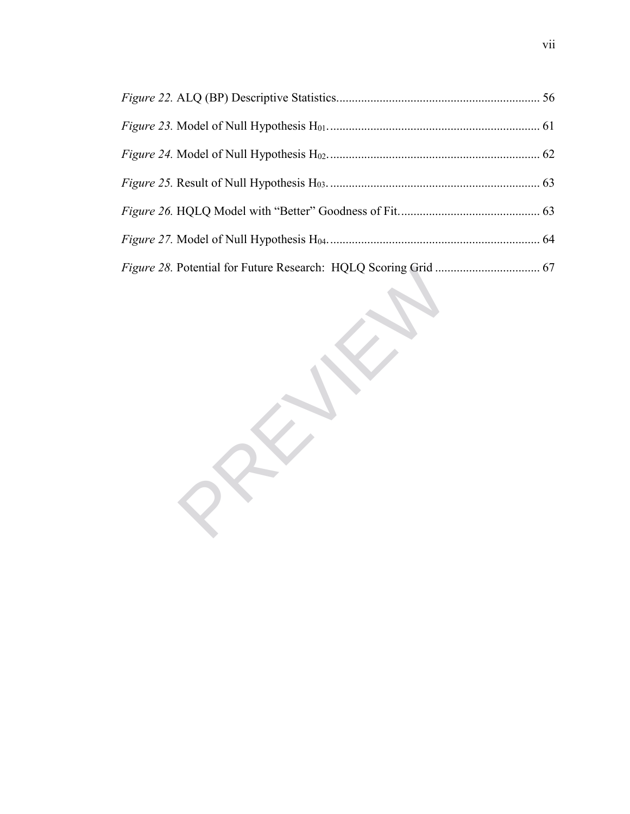*Figure 28.* Potential for Future Research: HQLQ Scoring Grid .................................. [67](#page--1-1) PREVIE[W](#page--1-1)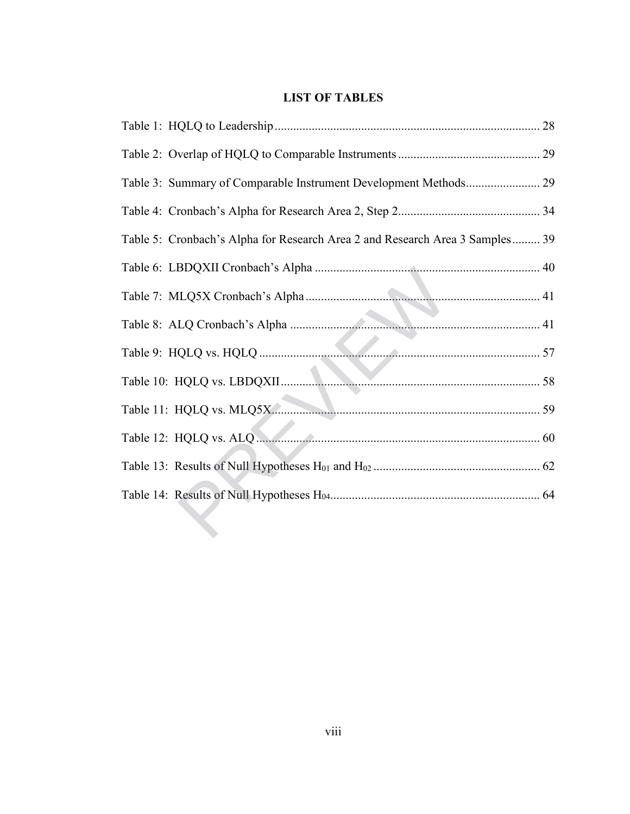# **LIST OF TABLES**

| Table 3: Summary of Comparable Instrument Development Methods 29             |  |
|------------------------------------------------------------------------------|--|
|                                                                              |  |
| Table 5: Cronbach's Alpha for Research Area 2 and Research Area 3 Samples 39 |  |
|                                                                              |  |
|                                                                              |  |
|                                                                              |  |
|                                                                              |  |
|                                                                              |  |
|                                                                              |  |
|                                                                              |  |
|                                                                              |  |
|                                                                              |  |
|                                                                              |  |
|                                                                              |  |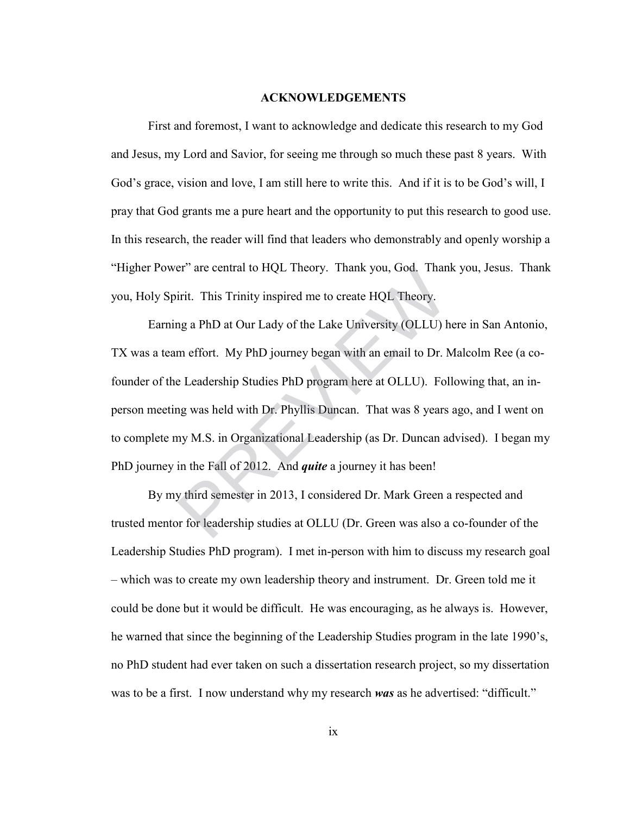#### **ACKNOWLEDGEMENTS**

First and foremost, I want to acknowledge and dedicate this research to my God and Jesus, my Lord and Savior, for seeing me through so much these past 8 years. With God's grace, vision and love, I am still here to write this. And if it is to be God's will, I pray that God grants me a pure heart and the opportunity to put this research to good use. In this research, the reader will find that leaders who demonstrably and openly worship a "Higher Power" are central to HQL Theory. Thank you, God. Thank you, Jesus. Thank you, Holy Spirit. This Trinity inspired me to create HQL Theory.

Earning a PhD at Our Lady of the Lake University (OLLU) here in San Antonio, TX was a team effort. My PhD journey began with an email to Dr. Malcolm Ree (a cofounder of the Leadership Studies PhD program here at OLLU). Following that, an inperson meeting was held with Dr. Phyllis Duncan. That was 8 years ago, and I went on to complete my M.S. in Organizational Leadership (as Dr. Duncan advised). I began my PhD journey in the Fall of 2012. And *quite* a journey it has been! er" are central to HQL Theory. Thank you, God. Than<br>irit. This Trinity inspired me to create HQL Theory.<br>ng a PhD at Our Lady of the Lake University (OLLU) h<br>m effort. My PhD journey began with an email to Dr. N<br>e Leadersh

By my third semester in 2013, I considered Dr. Mark Green a respected and trusted mentor for leadership studies at OLLU (Dr. Green was also a co-founder of the Leadership Studies PhD program). I met in-person with him to discuss my research goal – which was to create my own leadership theory and instrument. Dr. Green told me it could be done but it would be difficult. He was encouraging, as he always is. However, he warned that since the beginning of the Leadership Studies program in the late 1990's, no PhD student had ever taken on such a dissertation research project, so my dissertation was to be a first. I now understand why my research *was* as he advertised: "difficult."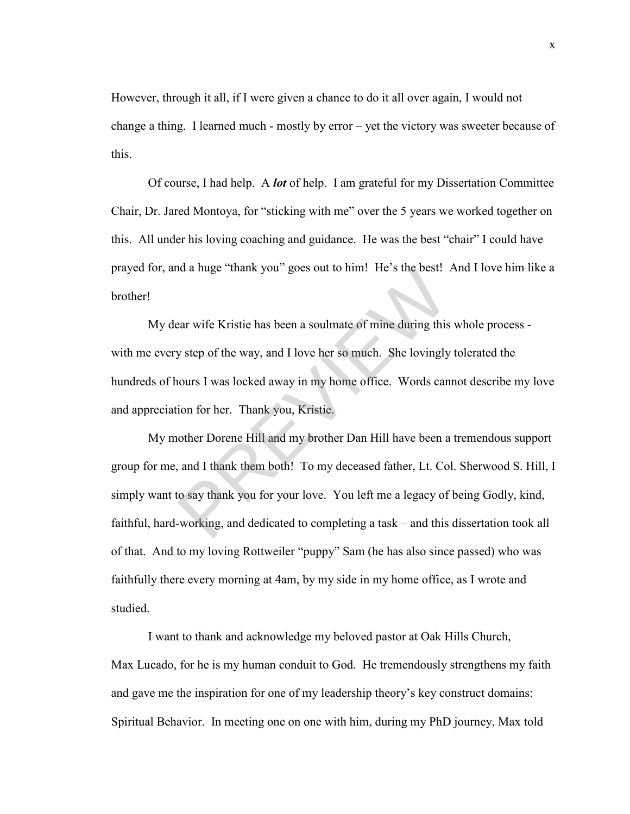However, through it all, if I were given a chance to do it all over again, I would not change a thing. I learned much - mostly by error – yet the victory was sweeter because of this.

Of course, I had help. A *lot* of help. I am grateful for my Dissertation Committee Chair, Dr. Jared Montoya, for "sticking with me" over the 5 years we worked together on this. All under his loving coaching and guidance. He was the best "chair" I could have prayed for, and a huge "thank you" goes out to him! He's the best! And I love him like a brother!

My dear wife Kristie has been a soulmate of mine during this whole process with me every step of the way, and I love her so much. She lovingly tolerated the hundreds of hours I was locked away in my home office. Words cannot describe my love and appreciation for her. Thank you, Kristie.

My mother Dorene Hill and my brother Dan Hill have been a tremendous support group for me, and I thank them both! To my deceased father, Lt. Col. Sherwood S. Hill, I simply want to say thank you for your love. You left me a legacy of being Godly, kind, faithful, hard-working, and dedicated to completing a task – and this dissertation took all of that. And to my loving Rottweiler "puppy" Sam (he has also since passed) who was faithfully there every morning at 4am, by my side in my home office, as I wrote and studied. and a huge "thank you" goes out to him! He's the best!<br>ear wife Kristie has been a soulmate of mine during this<br>y step of the way, and I love her so much. She lovingly<br>nours I was locked away in my home office. Words can<br>i

I want to thank and acknowledge my beloved pastor at Oak Hills Church, Max Lucado, for he is my human conduit to God. He tremendously strengthens my faith and gave me the inspiration for one of my leadership theory's key construct domains: Spiritual Behavior. In meeting one on one with him, during my PhD journey, Max told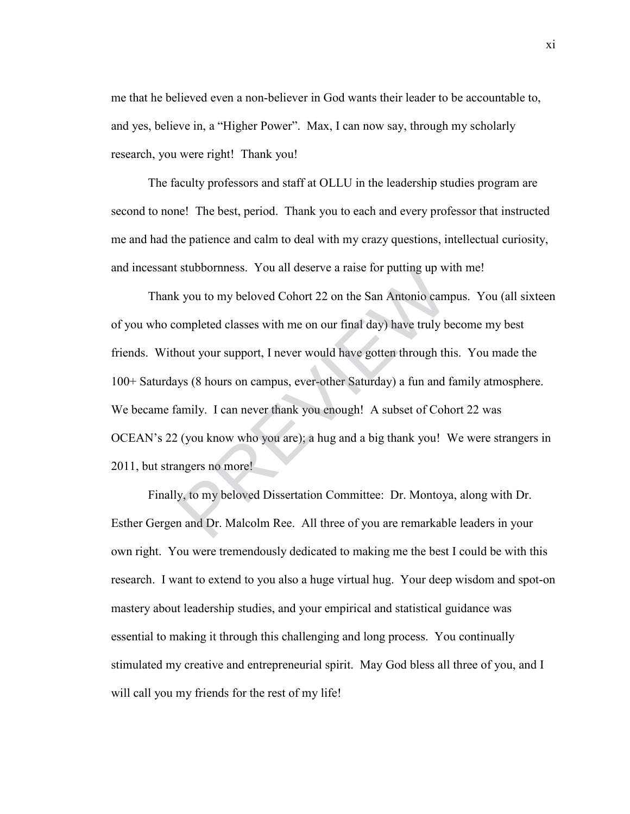me that he believed even a non-believer in God wants their leader to be accountable to, and yes, believe in, a "Higher Power". Max, I can now say, through my scholarly research, you were right! Thank you!

The faculty professors and staff at OLLU in the leadership studies program are second to none! The best, period. Thank you to each and every professor that instructed me and had the patience and calm to deal with my crazy questions, intellectual curiosity, and incessant stubbornness. You all deserve a raise for putting up with me!

Thank you to my beloved Cohort 22 on the San Antonio campus. You (all sixteen of you who completed classes with me on our final day) have truly become my best friends. Without your support, I never would have gotten through this. You made the 100+ Saturdays (8 hours on campus, ever-other Saturday) a fun and family atmosphere. We became family. I can never thank you enough! A subset of Cohort 22 was OCEAN's 22 (you know who you are); a hug and a big thank you! We were strangers in 2011, but strangers no more! stubbornness. You all deserve a raise for putting up w<br>
s you to my beloved Cohort 22 on the San Antonio cam<br>
ompleted classes with me on our final day) have truly b<br>
nout your support, I never would have gotten through th

Finally, to my beloved Dissertation Committee: Dr. Montoya, along with Dr. Esther Gergen and Dr. Malcolm Ree. All three of you are remarkable leaders in your own right. You were tremendously dedicated to making me the best I could be with this research. I want to extend to you also a huge virtual hug. Your deep wisdom and spot-on mastery about leadership studies, and your empirical and statistical guidance was essential to making it through this challenging and long process. You continually stimulated my creative and entrepreneurial spirit. May God bless all three of you, and I will call you my friends for the rest of my life!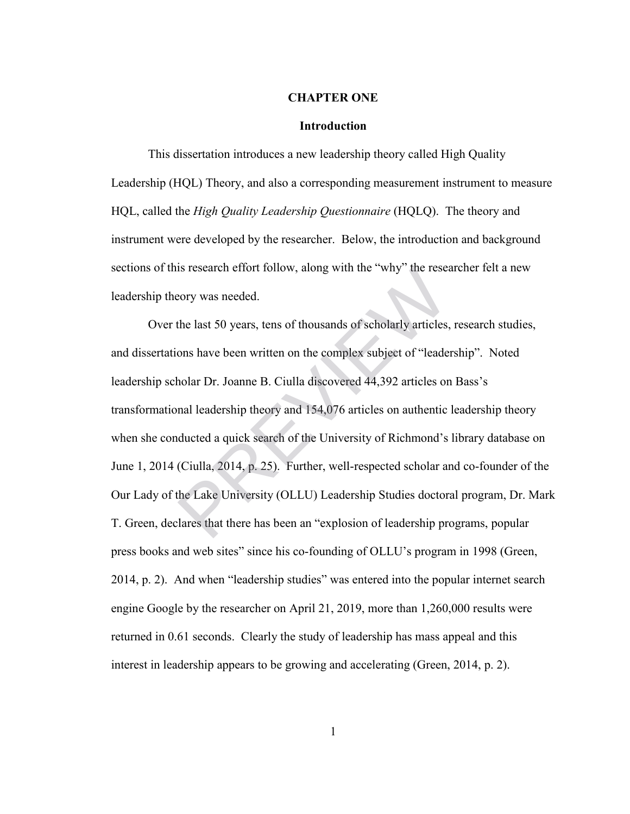### **CHAPTER ONE**

### **Introduction**

This dissertation introduces a new leadership theory called High Quality Leadership (HQL) Theory, and also a corresponding measurement instrument to measure HQL, called the *High Quality Leadership Questionnaire* (HQLQ). The theory and instrument were developed by the researcher. Below, the introduction and background sections of this research effort follow, along with the "why" the researcher felt a new leadership theory was needed.

Over the last 50 years, tens of thousands of scholarly articles, research studies, and dissertations have been written on the complex subject of "leadership". Noted leadership scholar Dr. Joanne B. Ciulla discovered 44,392 articles on Bass's transformational leadership theory and 154,076 articles on authentic leadership theory when she conducted a quick search of the University of Richmond's library database on June 1, 2014 (Ciulla, 2014, p. 25). Further, well-respected scholar and co-founder of the Our Lady of the Lake University (OLLU) Leadership Studies doctoral program, Dr. Mark T. Green, declares that there has been an "explosion of leadership programs, popular press books and web sites" since his co-founding of OLLU's program in 1998 (Green, 2014, p. 2). And when "leadership studies" was entered into the popular internet search engine Google by the researcher on April 21, 2019, more than 1,260,000 results were returned in 0.61 seconds. Clearly the study of leadership has mass appeal and this interest in leadership appears to be growing and accelerating (Green, 2014, p. 2). Is research effort follow, along with the "why" the research effort follow, along with the "why" the research eventy was needed.<br>
the last 50 years, tens of thousands of scholarly articles,<br>
ons have been written on the co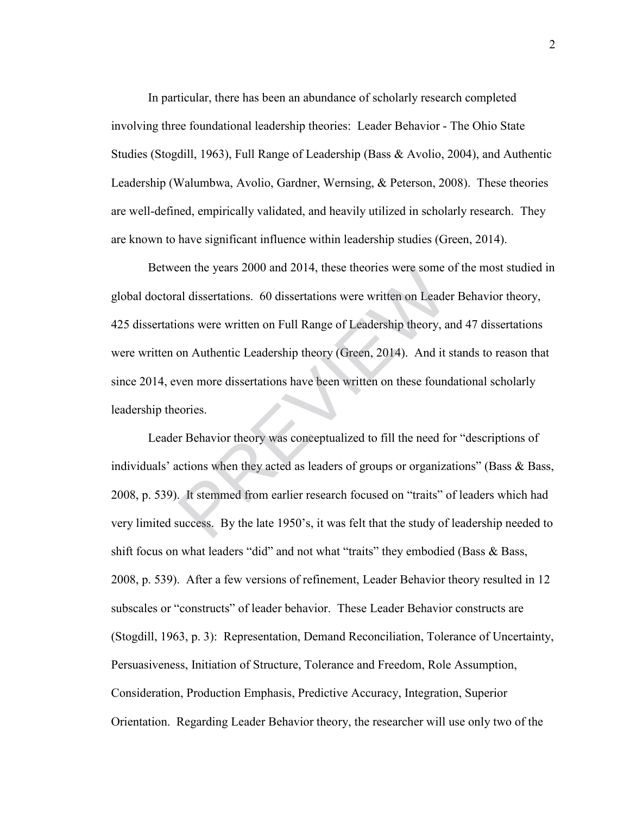In particular, there has been an abundance of scholarly research completed involving three foundational leadership theories: Leader Behavior - The Ohio State Studies (Stogdill, 1963), Full Range of Leadership (Bass & Avolio, 2004), and Authentic Leadership (Walumbwa, Avolio, Gardner, Wernsing, & Peterson, 2008). These theories are well-defined, empirically validated, and heavily utilized in scholarly research. They are known to have significant influence within leadership studies (Green, 2014).

Between the years 2000 and 2014, these theories were some of the most studied in global doctoral dissertations. 60 dissertations were written on Leader Behavior theory, 425 dissertations were written on Full Range of Leadership theory, and 47 dissertations were written on Authentic Leadership theory (Green, 2014). And it stands to reason that since 2014, even more dissertations have been written on these foundational scholarly leadership theories. een the years 2000 and 2014, these theories were some or al dissertations. 60 dissertations were written on Leade<br>ons were written on Full Range of Leadership theory, a<br>on Authentic Leadership theory (Green, 2014). And it

Leader Behavior theory was conceptualized to fill the need for "descriptions of individuals' actions when they acted as leaders of groups or organizations" (Bass & Bass, 2008, p. 539). It stemmed from earlier research focused on "traits" of leaders which had very limited success. By the late 1950's, it was felt that the study of leadership needed to shift focus on what leaders "did" and not what "traits" they embodied (Bass & Bass, 2008, p. 539). After a few versions of refinement, Leader Behavior theory resulted in 12 subscales or "constructs" of leader behavior. These Leader Behavior constructs are (Stogdill, 1963, p. 3): Representation, Demand Reconciliation, Tolerance of Uncertainty, Persuasiveness, Initiation of Structure, Tolerance and Freedom, Role Assumption, Consideration, Production Emphasis, Predictive Accuracy, Integration, Superior Orientation. Regarding Leader Behavior theory, the researcher will use only two of the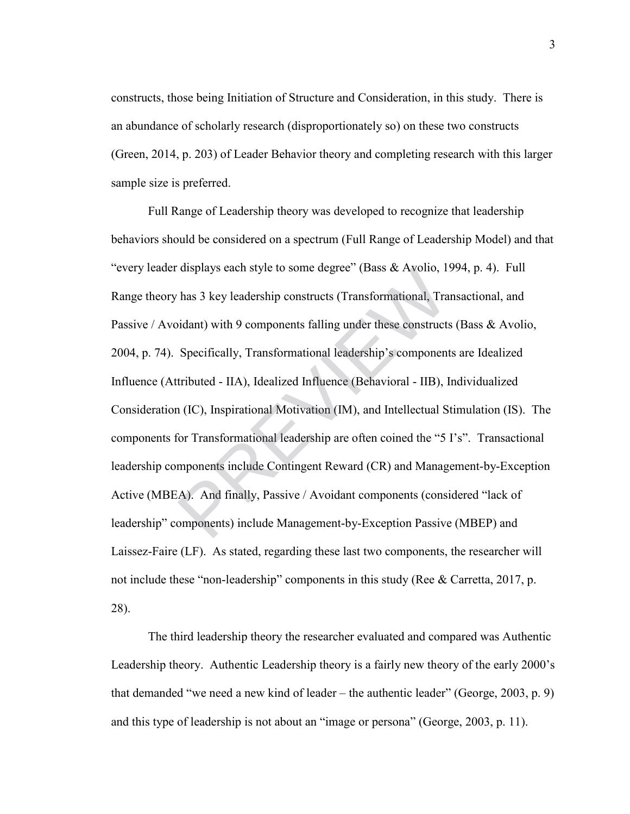constructs, those being Initiation of Structure and Consideration, in this study. There is an abundance of scholarly research (disproportionately so) on these two constructs (Green, 2014, p. 203) of Leader Behavior theory and completing research with this larger sample size is preferred.

Full Range of Leadership theory was developed to recognize that leadership behaviors should be considered on a spectrum (Full Range of Leadership Model) and that "every leader displays each style to some degree" (Bass & Avolio, 1994, p. 4). Full Range theory has 3 key leadership constructs (Transformational, Transactional, and Passive / Avoidant) with 9 components falling under these constructs (Bass & Avolio, 2004, p. 74). Specifically, Transformational leadership's components are Idealized Influence (Attributed - IIA), Idealized Influence (Behavioral - IIB), Individualized Consideration (IC), Inspirational Motivation (IM), and Intellectual Stimulation (IS). The components for Transformational leadership are often coined the "5 I's". Transactional leadership components include Contingent Reward (CR) and Management-by-Exception Active (MBEA). And finally, Passive / Avoidant components (considered "lack of leadership" components) include Management-by-Exception Passive (MBEP) and Laissez-Faire (LF). As stated, regarding these last two components, the researcher will not include these "non-leadership" components in this study (Ree & Carretta, 2017, p. 28). displays each style to some degree" (Bass & Avolio, I'<br>has 3 key leadership constructs (Transformational, Tra<br>bidant) with 9 components falling under these constructs<br>Specifically, Transformational leadership's component<br>t

The third leadership theory the researcher evaluated and compared was Authentic Leadership theory. Authentic Leadership theory is a fairly new theory of the early 2000's that demanded "we need a new kind of leader – the authentic leader" (George, 2003, p. 9) and this type of leadership is not about an "image or persona" (George, 2003, p. 11).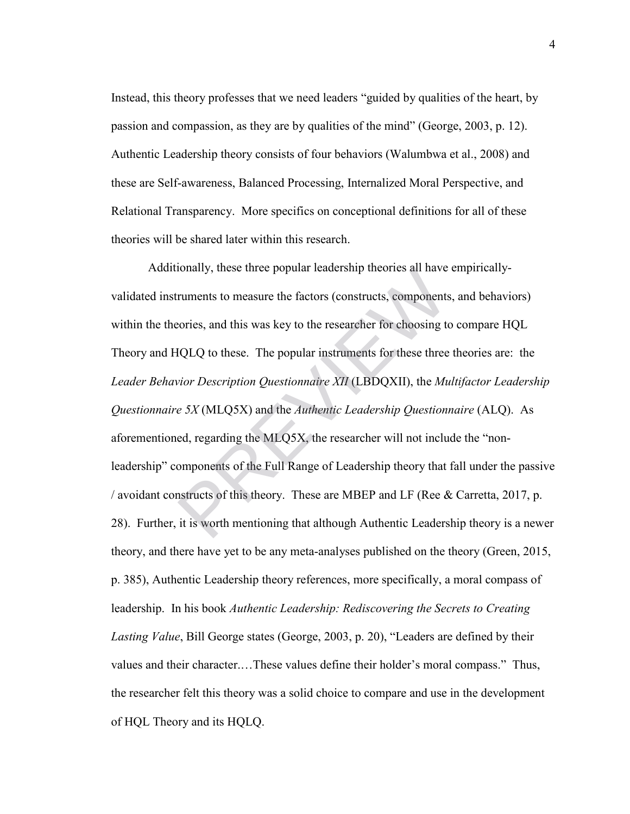Instead, this theory professes that we need leaders "guided by qualities of the heart, by passion and compassion, as they are by qualities of the mind" (George, 2003, p. 12). Authentic Leadership theory consists of four behaviors (Walumbwa et al., 2008) and these are Self-awareness, Balanced Processing, Internalized Moral Perspective, and Relational Transparency. More specifics on conceptional definitions for all of these theories will be shared later within this research.

Additionally, these three popular leadership theories all have empiricallyvalidated instruments to measure the factors (constructs, components, and behaviors) within the theories, and this was key to the researcher for choosing to compare HQL Theory and HQLQ to these. The popular instruments for these three theories are: the *Leader Behavior Description Questionnaire XII* (LBDQXII), the *Multifactor Leadership Questionnaire 5X* (MLQ5X) and the *Authentic Leadership Questionnaire* (ALQ). As aforementioned, regarding the MLQ5X, the researcher will not include the "nonleadership" components of the Full Range of Leadership theory that fall under the passive / avoidant constructs of this theory. These are MBEP and LF (Ree & Carretta, 2017, p. 28). Further, it is worth mentioning that although Authentic Leadership theory is a newer theory, and there have yet to be any meta-analyses published on the theory (Green, 2015, p. 385), Authentic Leadership theory references, more specifically, a moral compass of leadership. In his book *Authentic Leadership: Rediscovering the Secrets to Creating Lasting Value*, Bill George states (George, 2003, p. 20), "Leaders are defined by their values and their character.…These values define their holder's moral compass." Thus, the researcher felt this theory was a solid choice to compare and use in the development of HQL Theory and its HQLQ. ionally, these three popular leadership theories all have<br>ruments to measure the factors (constructs, components<br>cories, and this was key to the researcher for choosing to<br>IQLQ to these. The popular instruments for these t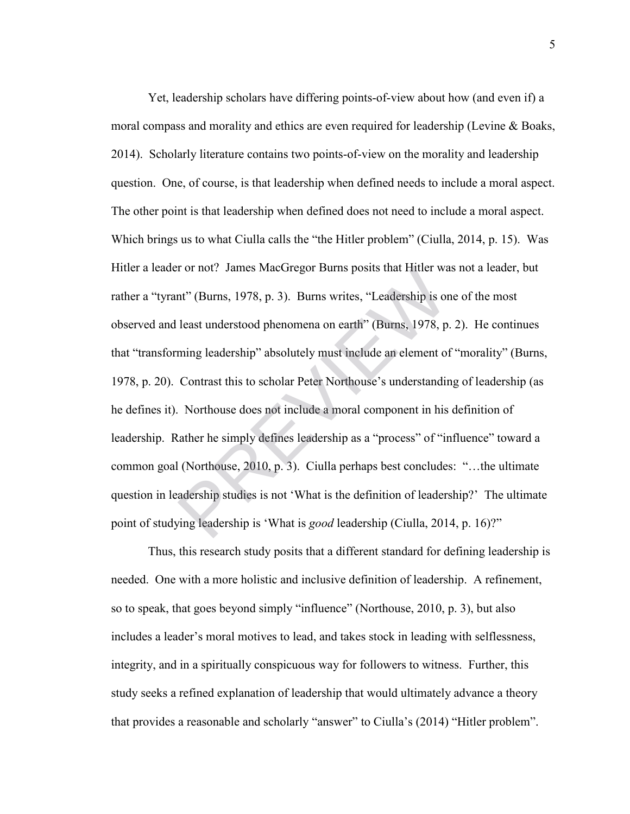Yet, leadership scholars have differing points-of-view about how (and even if) a moral compass and morality and ethics are even required for leadership (Levine & Boaks, 2014). Scholarly literature contains two points-of-view on the morality and leadership question. One, of course, is that leadership when defined needs to include a moral aspect. The other point is that leadership when defined does not need to include a moral aspect. Which brings us to what Ciulla calls the "the Hitler problem" (Ciulla, 2014, p. 15). Was Hitler a leader or not? James MacGregor Burns posits that Hitler was not a leader, but rather a "tyrant" (Burns, 1978, p. 3). Burns writes, "Leadership is one of the most observed and least understood phenomena on earth" (Burns, 1978, p. 2). He continues that "transforming leadership" absolutely must include an element of "morality" (Burns, 1978, p. 20). Contrast this to scholar Peter Northouse's understanding of leadership (as he defines it). Northouse does not include a moral component in his definition of leadership. Rather he simply defines leadership as a "process" of "influence" toward a common goal (Northouse, 2010, p. 3). Ciulla perhaps best concludes: "…the ultimate question in leadership studies is not 'What is the definition of leadership?' The ultimate point of studying leadership is 'What is *good* leadership (Ciulla, 2014, p. 16)?" r or not? James MacGregor Burns posits that Hitler was nt" (Burns, 1978, p. 3). Burns writes, "Leadership is or least understood phenomena on earth" (Burns, 1978, p. ming leadership" absolutely must include an element of C

Thus, this research study posits that a different standard for defining leadership is needed. One with a more holistic and inclusive definition of leadership. A refinement, so to speak, that goes beyond simply "influence" (Northouse, 2010, p. 3), but also includes a leader's moral motives to lead, and takes stock in leading with selflessness, integrity, and in a spiritually conspicuous way for followers to witness. Further, this study seeks a refined explanation of leadership that would ultimately advance a theory that provides a reasonable and scholarly "answer" to Ciulla's (2014) "Hitler problem".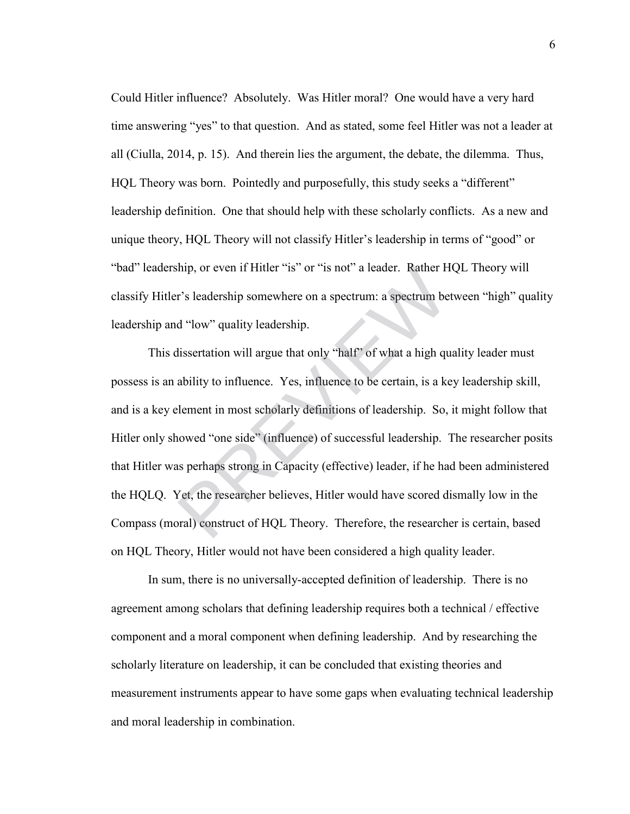Could Hitler influence? Absolutely. Was Hitler moral? One would have a very hard time answering "yes" to that question. And as stated, some feel Hitler was not a leader at all (Ciulla, 2014, p. 15). And therein lies the argument, the debate, the dilemma. Thus, HQL Theory was born. Pointedly and purposefully, this study seeks a "different" leadership definition. One that should help with these scholarly conflicts. As a new and unique theory, HQL Theory will not classify Hitler's leadership in terms of "good" or "bad" leadership, or even if Hitler "is" or "is not" a leader. Rather HQL Theory will classify Hitler's leadership somewhere on a spectrum: a spectrum between "high" quality leadership and "low" quality leadership.

This dissertation will argue that only "half" of what a high quality leader must possess is an ability to influence. Yes, influence to be certain, is a key leadership skill, and is a key element in most scholarly definitions of leadership. So, it might follow that Hitler only showed "one side" (influence) of successful leadership. The researcher posits that Hitler was perhaps strong in Capacity (effective) leader, if he had been administered the HQLQ. Yet, the researcher believes, Hitler would have scored dismally low in the Compass (moral) construct of HQL Theory. Therefore, the researcher is certain, based on HQL Theory, Hitler would not have been considered a high quality leader. thip, or even if Hitler "is" or "is not" a leader. Rather H<br>
r's leadership somewhere on a spectrum: a spectrum be<br>
d "low" quality leadership.<br>
dissertation will argue that only "half" of what a high qu<br>
ability to influe

In sum, there is no universally-accepted definition of leadership. There is no agreement among scholars that defining leadership requires both a technical / effective component and a moral component when defining leadership. And by researching the scholarly literature on leadership, it can be concluded that existing theories and measurement instruments appear to have some gaps when evaluating technical leadership and moral leadership in combination.

6